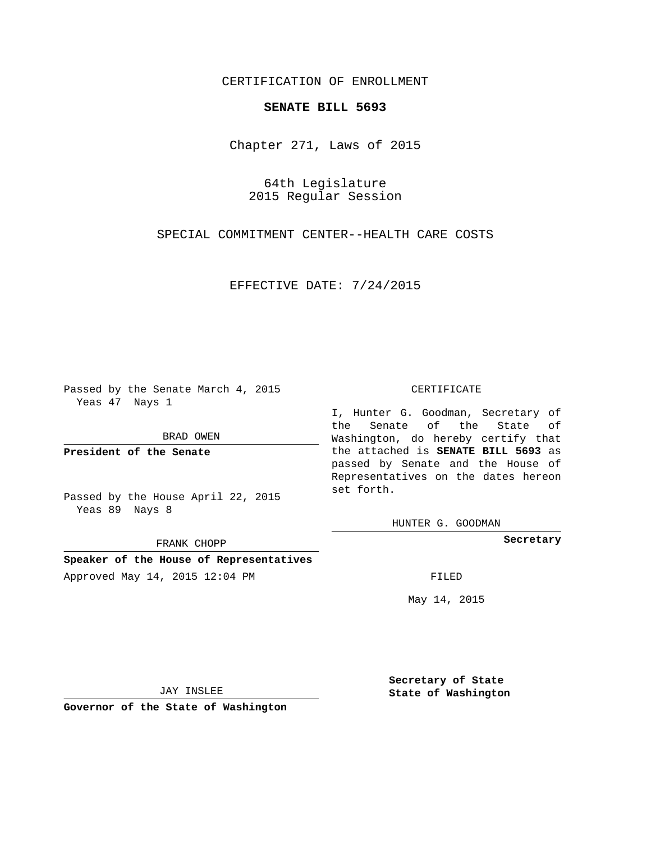## CERTIFICATION OF ENROLLMENT

## **SENATE BILL 5693**

Chapter 271, Laws of 2015

64th Legislature 2015 Regular Session

SPECIAL COMMITMENT CENTER--HEALTH CARE COSTS

EFFECTIVE DATE: 7/24/2015

Passed by the Senate March 4, 2015 Yeas 47 Nays 1

BRAD OWEN

**President of the Senate**

Passed by the House April 22, 2015 Yeas 89 Nays 8

FRANK CHOPP

**Speaker of the House of Representatives**

Approved May 14, 2015 12:04 PM FILED

## CERTIFICATE

I, Hunter G. Goodman, Secretary of the Senate of the State of Washington, do hereby certify that the attached is **SENATE BILL 5693** as passed by Senate and the House of Representatives on the dates hereon set forth.

HUNTER G. GOODMAN

**Secretary**

May 14, 2015

JAY INSLEE

**Governor of the State of Washington**

**Secretary of State State of Washington**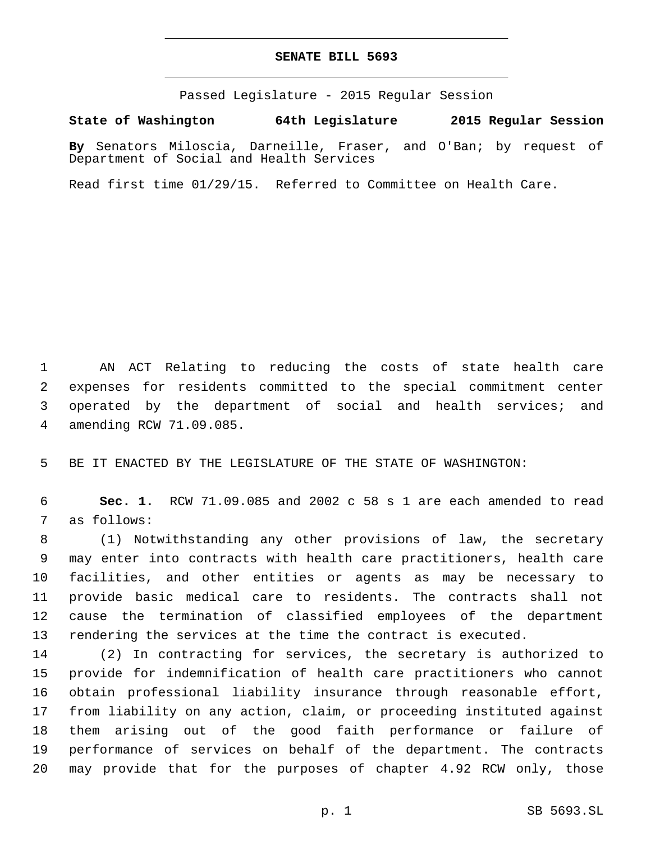## **SENATE BILL 5693**

Passed Legislature - 2015 Regular Session

**State of Washington 64th Legislature 2015 Regular Session**

**By** Senators Miloscia, Darneille, Fraser, and O'Ban; by request of Department of Social and Health Services

Read first time 01/29/15. Referred to Committee on Health Care.

 AN ACT Relating to reducing the costs of state health care expenses for residents committed to the special commitment center operated by the department of social and health services; and amending RCW 71.09.085.4

BE IT ENACTED BY THE LEGISLATURE OF THE STATE OF WASHINGTON:

 **Sec. 1.** RCW 71.09.085 and 2002 c 58 s 1 are each amended to read 7 as follows:

 (1) Notwithstanding any other provisions of law, the secretary may enter into contracts with health care practitioners, health care facilities, and other entities or agents as may be necessary to provide basic medical care to residents. The contracts shall not cause the termination of classified employees of the department rendering the services at the time the contract is executed.

 (2) In contracting for services, the secretary is authorized to provide for indemnification of health care practitioners who cannot obtain professional liability insurance through reasonable effort, from liability on any action, claim, or proceeding instituted against them arising out of the good faith performance or failure of performance of services on behalf of the department. The contracts may provide that for the purposes of chapter 4.92 RCW only, those